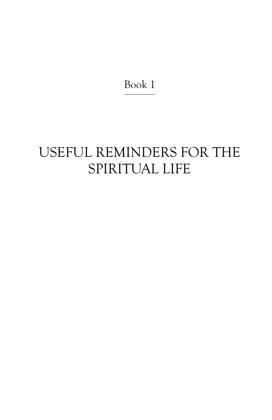Book 1

# USEFUL REMINDERS FOR THE SPIRITUAL LIFE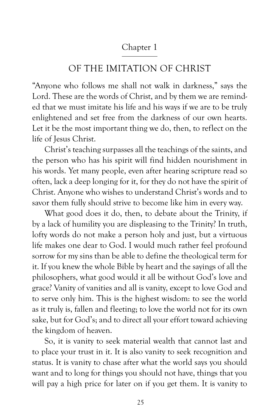## Chapter 1

# OF THE IMITATION OF CHRIST

"Anyone who follows me shall not walk in darkness," says the Lord. These are the words of Christ, and by them we are reminded that we must imitate his life and his ways if we are to be truly enlightened and set free from the darkness of our own hearts. Let it be the most important thing we do, then, to reflect on the life of Jesus Christ.

Christ's teaching surpasses all the teachings of the saints, and the person who has his spirit will find hidden nourishment in his words. Yet many people, even after hearing scripture read so often, lack a deep longing for it, for they do not have the spirit of Christ. Anyone who wishes to understand Christ's words and to savor them fully should strive to become like him in every way.

What good does it do, then, to debate about the Trinity, if by a lack of humility you are displeasing to the Trinity? In truth, lofty words do not make a person holy and just, but a virtuous life makes one dear to God. I would much rather feel profound sorrow for my sins than be able to define the theological term for it. If you knew the whole Bible by heart and the sayings of all the philosophers, what good would it all be without God's love and grace? Vanity of vanities and all is vanity, except to love God and to serve only him. This is the highest wisdom: to see the world as it truly is, fallen and fleeting; to love the world not for its own sake, but for God's; and to direct all your effort toward achieving the kingdom of heaven.

So, it is vanity to seek material wealth that cannot last and to place your trust in it. It is also vanity to seek recognition and status. It is vanity to chase after what the world says you should want and to long for things you should not have, things that you will pay a high price for later on if you get them. It is vanity to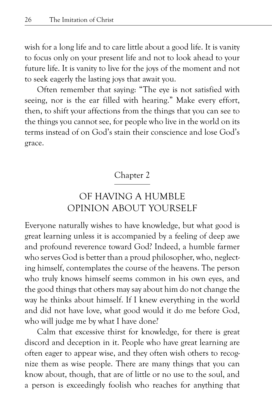wish for a long life and to care little about a good life. It is vanity to focus only on your present life and not to look ahead to your future life. It is vanity to live for the joys of the moment and not to seek eagerly the lasting joys that await you.

Often remember that saying: "The eye is not satisfied with seeing, nor is the ear filled with hearing." Make every effort, then, to shift your affections from the things that you can see to the things you cannot see, for people who live in the world on its terms instead of on God's stain their conscience and lose God's grace.

## Chapter 2

# OF HAVING A HUMBLE OPINION ABOUT YOURSELF

Everyone naturally wishes to have knowledge, but what good is great learning unless it is accompanied by a feeling of deep awe and profound reverence toward God? Indeed, a humble farmer who serves God is better than a proud philosopher, who, neglecting himself, contemplates the course of the heavens. The person who truly knows himself seems common in his own eyes, and the good things that others may say about him do not change the way he thinks about himself. If I knew everything in the world and did not have love, what good would it do me before God, who will judge me by what I have done?

Calm that excessive thirst for knowledge, for there is great discord and deception in it. People who have great learning are often eager to appear wise, and they often wish others to recognize them as wise people. There are many things that you can know about, though, that are of little or no use to the soul, and a person is exceedingly foolish who reaches for anything that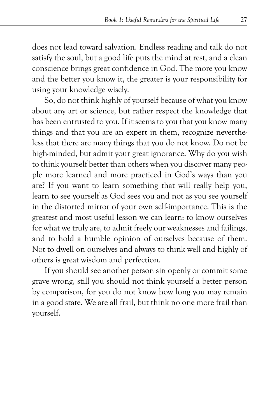does not lead toward salvation. Endless reading and talk do not satisfy the soul, but a good life puts the mind at rest, and a clean conscience brings great confidence in God. The more you know and the better you know it, the greater is your responsibility for using your knowledge wisely.

So, do not think highly of yourself because of what you know about any art or science, but rather respect the knowledge that has been entrusted to you. If it seems to you that you know many things and that you are an expert in them, recognize nevertheless that there are many things that you do not know. Do not be high-minded, but admit your great ignorance. Why do you wish to think yourself better than others when you discover many people more learned and more practiced in God's ways than you are? If you want to learn something that will really help you, learn to see yourself as God sees you and not as you see yourself in the distorted mirror of your own self-importance. This is the greatest and most useful lesson we can learn: to know ourselves for what we truly are, to admit freely our weaknesses and failings, and to hold a humble opinion of ourselves because of them. Not to dwell on ourselves and always to think well and highly of others is great wisdom and perfection.

If you should see another person sin openly or commit some grave wrong, still you should not think yourself a better person by comparison, for you do not know how long you may remain in a good state. We are all frail, but think no one more frail than yourself.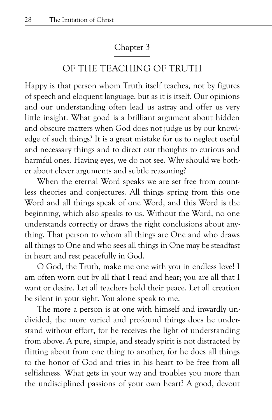#### Chapter 3

## OF THE TEACHING OF TRUTH

Happy is that person whom Truth itself teaches, not by figures of speech and eloquent language, but as it is itself. Our opinions and our understanding often lead us astray and offer us very little insight. What good is a brilliant argument about hidden and obscure matters when God does not judge us by our knowledge of such things? It is a great mistake for us to neglect useful and necessary things and to direct our thoughts to curious and harmful ones. Having eyes, we do not see. Why should we bother about clever arguments and subtle reasoning?

When the eternal Word speaks we are set free from countless theories and conjectures. All things spring from this one Word and all things speak of one Word, and this Word is the beginning, which also speaks to us. Without the Word, no one understands correctly or draws the right conclusions about anything. That person to whom all things are One and who draws all things to One and who sees all things in One may be steadfast in heart and rest peacefully in God.

O God, the Truth, make me one with you in endless love! I am often worn out by all that I read and hear; you are all that I want or desire. Let all teachers hold their peace. Let all creation be silent in your sight. You alone speak to me.

The more a person is at one with himself and inwardly undivided, the more varied and profound things does he understand without effort, for he receives the light of understanding from above. A pure, simple, and steady spirit is not distracted by flitting about from one thing to another, for he does all things to the honor of God and tries in his heart to be free from all selfishness. What gets in your way and troubles you more than the undisciplined passions of your own heart? A good, devout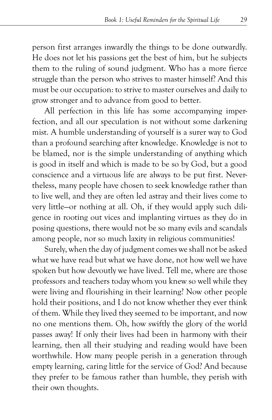person first arranges inwardly the things to be done outwardly. He does not let his passions get the best of him, but he subjects them to the ruling of sound judgment. Who has a more fierce struggle than the person who strives to master himself? And this must be our occupation: to strive to master ourselves and daily to grow stronger and to advance from good to better.

All perfection in this life has some accompanying imperfection, and all our speculation is not without some darkening mist. A humble understanding of yourself is a surer way to God than a profound searching after knowledge. Knowledge is not to be blamed, nor is the simple understanding of anything which is good in itself and which is made to be so by God, but a good conscience and a virtuous life are always to be put first. Nevertheless, many people have chosen to seek knowledge rather than to live well, and they are often led astray and their lives come to very little—or nothing at all. Oh, if they would apply such diligence in rooting out vices and implanting virtues as they do in posing questions, there would not be so many evils and scandals among people, nor so much laxity in religious communities!

Surely, when the day of judgment comes we shall not be asked what we have read but what we have done, not how well we have spoken but how devoutly we have lived. Tell me, where are those professors and teachers today whom you knew so well while they were living and flourishing in their learning? Now other people hold their positions, and I do not know whether they ever think of them. While they lived they seemed to be important, and now no one mentions them. Oh, how swiftly the glory of the world passes away! If only their lives had been in harmony with their learning, then all their studying and reading would have been worthwhile. How many people perish in a generation through empty learning, caring little for the service of God? And because they prefer to be famous rather than humble, they perish with their own thoughts.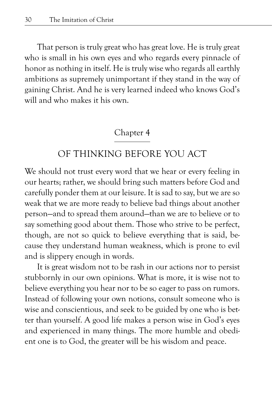That person is truly great who has great love. He is truly great who is small in his own eyes and who regards every pinnacle of honor as nothing in itself. He is truly wise who regards all earthly ambitions as supremely unimportant if they stand in the way of gaining Christ. And he is very learned indeed who knows God's will and who makes it his own.

### Chapter 4

## OF THINKING BEFORE YOU ACT

We should not trust every word that we hear or every feeling in our hearts; rather, we should bring such matters before God and carefully ponder them at our leisure. It is sad to say, but we are so weak that we are more ready to believe bad things about another person—and to spread them around—than we are to believe or to say something good about them. Those who strive to be perfect, though, are not so quick to believe everything that is said, because they understand human weakness, which is prone to evil and is slippery enough in words.

It is great wisdom not to be rash in our actions nor to persist stubbornly in our own opinions. What is more, it is wise not to believe everything you hear nor to be so eager to pass on rumors. Instead of following your own notions, consult someone who is wise and conscientious, and seek to be guided by one who is better than yourself. A good life makes a person wise in God's eyes and experienced in many things. The more humble and obedient one is to God, the greater will be his wisdom and peace.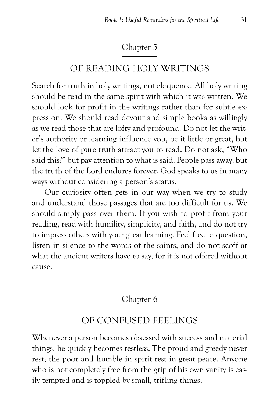#### Chapter 5

## OF READING HOLY WRITINGS

Search for truth in holy writings, not eloquence. All holy writing should be read in the same spirit with which it was written. We should look for profit in the writings rather than for subtle expression. We should read devout and simple books as willingly as we read those that are lofty and profound. Do not let the writer's authority or learning influence you, be it little or great, but let the love of pure truth attract you to read. Do not ask, "Who said this?" but pay attention to what is said. People pass away, but the truth of the Lord endures forever. God speaks to us in many ways without considering a person's status.

Our curiosity often gets in our way when we try to study and understand those passages that are too difficult for us. We should simply pass over them. If you wish to profit from your reading, read with humility, simplicity, and faith, and do not try to impress others with your great learning. Feel free to question, listen in silence to the words of the saints, and do not scoff at what the ancient writers have to say, for it is not offered without cause.

#### Chapter 6

## OF CONFUSED FEELINGS

Whenever a person becomes obsessed with success and material things, he quickly becomes restless. The proud and greedy never rest; the poor and humble in spirit rest in great peace. Anyone who is not completely free from the grip of his own vanity is easily tempted and is toppled by small, trifling things.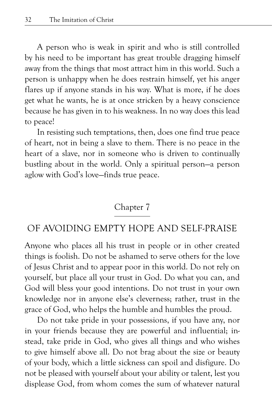A person who is weak in spirit and who is still controlled by his need to be important has great trouble dragging himself away from the things that most attract him in this world. Such a person is unhappy when he does restrain himself, yet his anger flares up if anyone stands in his way. What is more, if he does get what he wants, he is at once stricken by a heavy conscience because he has given in to his weakness. In no way does this lead to peace!

In resisting such temptations, then, does one find true peace of heart, not in being a slave to them. There is no peace in the heart of a slave, nor in someone who is driven to continually bustling about in the world. Only a spiritual person—a person aglow with God's love—finds true peace.

## Chapter 7

## OF AVOIDING EMPTY HOPE AND SELF-PRAISE

Anyone who places all his trust in people or in other created things is foolish. Do not be ashamed to serve others for the love of Jesus Christ and to appear poor in this world. Do not rely on yourself, but place all your trust in God. Do what you can, and God will bless your good intentions. Do not trust in your own knowledge nor in anyone else's cleverness; rather, trust in the grace of God, who helps the humble and humbles the proud.

Do not take pride in your possessions, if you have any, nor in your friends because they are powerful and influential; instead, take pride in God, who gives all things and who wishes to give himself above all. Do not brag about the size or beauty of your body, which a little sickness can spoil and disfigure. Do not be pleased with yourself about your ability or talent, lest you displease God, from whom comes the sum of whatever natural